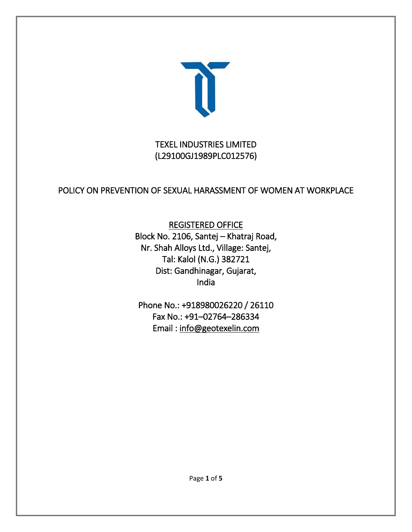

# TEXEL INDUSTRIES LIMITED (L29100GJ1989PLC012576)

# POLICY ON PREVENTION OF SEXUAL HARASSMENT OF WOMEN AT WORKPLACE

REGISTERED OFFICE

Block No. 2106, Santej – Khatraj Road, Nr. Shah Alloys Ltd., Village: Santej, Tal: Kalol (N.G.) 382721 Dist: Gandhinagar, Gujarat, India

Phone No.: +918980026220 / 26110 Fax No.: +91–02764–286334 Email : [info@geotexelin.com](mailto:info@geotexelin.com)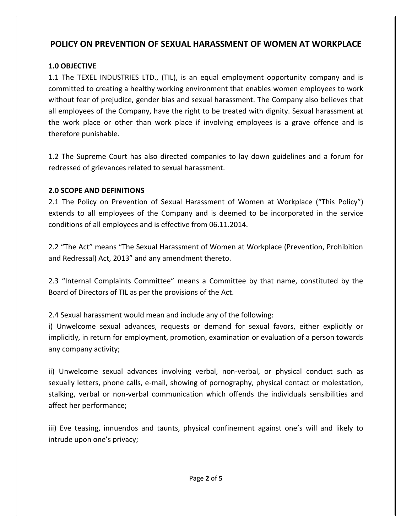# **POLICY ON PREVENTION OF SEXUAL HARASSMENT OF WOMEN AT WORKPLACE**

## **1.0 OBJECTIVE**

1.1 The TEXEL INDUSTRIES LTD., (TIL), is an equal employment opportunity company and is committed to creating a healthy working environment that enables women employees to work without fear of prejudice, gender bias and sexual harassment. The Company also believes that all employees of the Company, have the right to be treated with dignity. Sexual harassment at the work place or other than work place if involving employees is a grave offence and is therefore punishable.

1.2 The Supreme Court has also directed companies to lay down guidelines and a forum for redressed of grievances related to sexual harassment.

#### **2.0 SCOPE AND DEFINITIONS**

2.1 The Policy on Prevention of Sexual Harassment of Women at Workplace ("This Policy") extends to all employees of the Company and is deemed to be incorporated in the service conditions of all employees and is effective from 06.11.2014.

2.2 "The Act" means "The Sexual Harassment of Women at Workplace (Prevention, Prohibition and Redressal) Act, 2013" and any amendment thereto.

2.3 "Internal Complaints Committee" means a Committee by that name, constituted by the Board of Directors of TIL as per the provisions of the Act.

2.4 Sexual harassment would mean and include any of the following:

i) Unwelcome sexual advances, requests or demand for sexual favors, either explicitly or implicitly, in return for employment, promotion, examination or evaluation of a person towards any company activity;

ii) Unwelcome sexual advances involving verbal, non-verbal, or physical conduct such as sexually letters, phone calls, e-mail, showing of pornography, physical contact or molestation, stalking, verbal or non-verbal communication which offends the individuals sensibilities and affect her performance;

iii) Eve teasing, innuendos and taunts, physical confinement against one's will and likely to intrude upon one's privacy;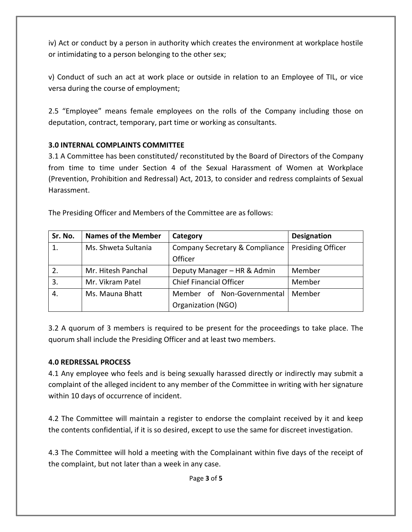iv) Act or conduct by a person in authority which creates the environment at workplace hostile or intimidating to a person belonging to the other sex;

v) Conduct of such an act at work place or outside in relation to an Employee of TIL, or vice versa during the course of employment;

2.5 "Employee" means female employees on the rolls of the Company including those on deputation, contract, temporary, part time or working as consultants.

### **3.0 INTERNAL COMPLAINTS COMMITTEE**

3.1 A Committee has been constituted/ reconstituted by the Board of Directors of the Company from time to time under Section 4 of the Sexual Harassment of Women at Workplace (Prevention, Prohibition and Redressal) Act, 2013, to consider and redress complaints of Sexual Harassment.

| Sr. No.        | <b>Names of the Member</b> | Category                       | <b>Designation</b>       |
|----------------|----------------------------|--------------------------------|--------------------------|
| 1.             | Ms. Shweta Sultania        | Company Secretary & Compliance | <b>Presiding Officer</b> |
|                |                            | Officer                        |                          |
|                | Mr. Hitesh Panchal         | Deputy Manager - HR & Admin    | Member                   |
| $\overline{3}$ | Mr. Vikram Patel           | <b>Chief Financial Officer</b> | Member                   |
| $\mathbf{4}$   | Ms. Mauna Bhatt            | Member of Non-Governmental     | Member                   |
|                |                            | Organization (NGO)             |                          |

The Presiding Officer and Members of the Committee are as follows:

3.2 A quorum of 3 members is required to be present for the proceedings to take place. The quorum shall include the Presiding Officer and at least two members.

#### **4.0 REDRESSAL PROCESS**

4.1 Any employee who feels and is being sexually harassed directly or indirectly may submit a complaint of the alleged incident to any member of the Committee in writing with her signature within 10 days of occurrence of incident.

4.2 The Committee will maintain a register to endorse the complaint received by it and keep the contents confidential, if it is so desired, except to use the same for discreet investigation.

4.3 The Committee will hold a meeting with the Complainant within five days of the receipt of the complaint, but not later than a week in any case.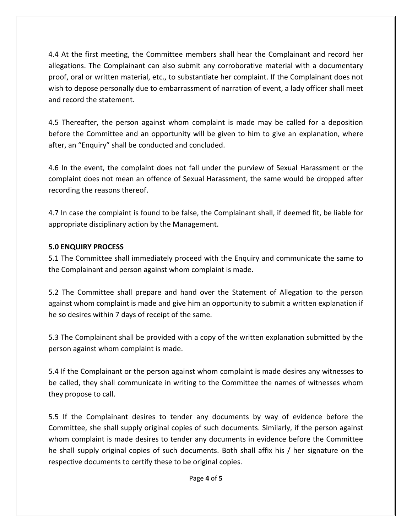4.4 At the first meeting, the Committee members shall hear the Complainant and record her allegations. The Complainant can also submit any corroborative material with a documentary proof, oral or written material, etc., to substantiate her complaint. If the Complainant does not wish to depose personally due to embarrassment of narration of event, a lady officer shall meet and record the statement.

4.5 Thereafter, the person against whom complaint is made may be called for a deposition before the Committee and an opportunity will be given to him to give an explanation, where after, an "Enquiry" shall be conducted and concluded.

4.6 In the event, the complaint does not fall under the purview of Sexual Harassment or the complaint does not mean an offence of Sexual Harassment, the same would be dropped after recording the reasons thereof.

4.7 In case the complaint is found to be false, the Complainant shall, if deemed fit, be liable for appropriate disciplinary action by the Management.

#### **5.0 ENQUIRY PROCESS**

5.1 The Committee shall immediately proceed with the Enquiry and communicate the same to the Complainant and person against whom complaint is made.

5.2 The Committee shall prepare and hand over the Statement of Allegation to the person against whom complaint is made and give him an opportunity to submit a written explanation if he so desires within 7 days of receipt of the same.

5.3 The Complainant shall be provided with a copy of the written explanation submitted by the person against whom complaint is made.

5.4 If the Complainant or the person against whom complaint is made desires any witnesses to be called, they shall communicate in writing to the Committee the names of witnesses whom they propose to call.

5.5 If the Complainant desires to tender any documents by way of evidence before the Committee, she shall supply original copies of such documents. Similarly, if the person against whom complaint is made desires to tender any documents in evidence before the Committee he shall supply original copies of such documents. Both shall affix his / her signature on the respective documents to certify these to be original copies.